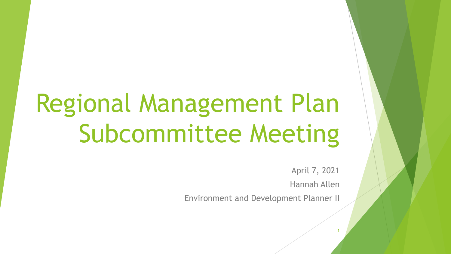# Regional Management Plan Subcommittee Meeting

April 7, 2021

Hannah Allen

1

Environment and Development Planner II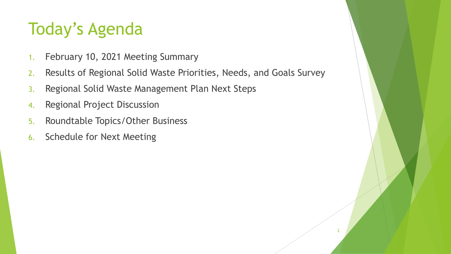#### Today's Agenda

- 1. February 10, 2021 Meeting Summary
- 2. Results of Regional Solid Waste Priorities, Needs, and Goals Survey
- 3. Regional Solid Waste Management Plan Next Steps
- 4. Regional Project Discussion
- 5. Roundtable Topics/Other Business
- 6. Schedule for Next Meeting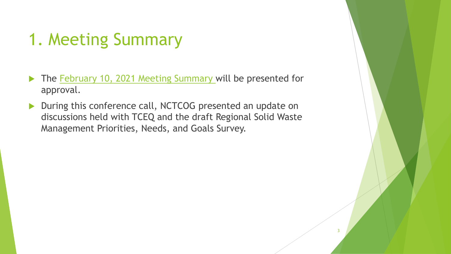# 1. Meeting Summary

- The [February 10, 2021 Meeting Summary w](https://nctcog.org/nctcg/media/Environment-and-Development/Committee%20Documents/RCC-Regional%20Management%20Plan%20Sub/FY2021/2021-02-10-RMPS-Summary.pdf?ext=.pdf)ill be presented for approval.
- During this conference call, NCTCOG presented an update on discussions held with TCEQ and the draft Regional Solid Waste Management Priorities, Needs, and Goals Survey.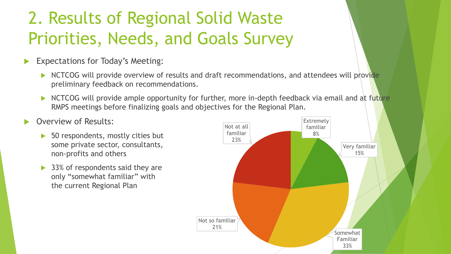#### 2. Results of Regional Solid Waste Priorities, Needs, and Goals Survey

- Expectations for Today's Meeting:
	- $\triangleright$  NCTCOG will provide overview of results and draft recommendations, and attendees will provide preliminary feedback on recommendations.
	- NCTCOG will provide ample opportunity for further, more in-depth feedback via email and at future RMPS meetings before finalizing goals and objectives for the Regional Plan.
- Overview of Results:
	- ▶ 50 respondents, mostly cities but some private sector, consultants, non-profits and others
	- ▶ 33% of respondents said they are only "somewhat familiar" with the current Regional Plan

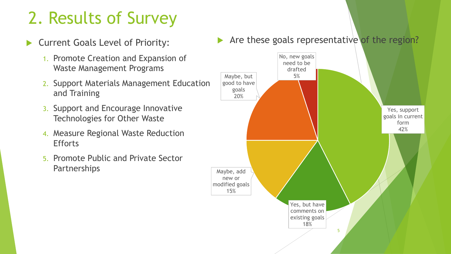- Current Goals Level of Priority:
	- 1. Promote Creation and Expansion of Waste Management Programs
	- 2. Support Materials Management Education and Training
	- 3. Support and Encourage Innovative Technologies for Other Waste
	- 4. Measure Regional Waste Reduction **Efforts**
	- 5. Promote Public and Private Sector **Partnerships**

Are these goals representative of the region?

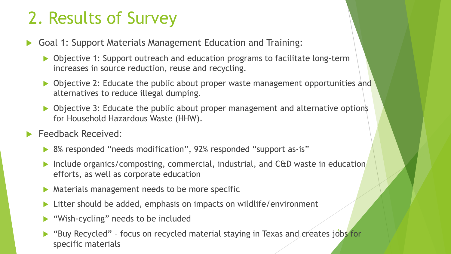- Goal 1: Support Materials Management Education and Training:
	- ▶ Objective 1: Support outreach and education programs to facilitate long-term increases in source reduction, reuse and recycling.
	- Objective 2: Educate the public about proper waste management opportunities and alternatives to reduce illegal dumping.
	- ▶ Objective 3: Educate the public about proper management and alternative options for Household Hazardous Waste (HHW).
- Feedback Received:
	- ▶ 8% responded "needs modification", 92% responded "support as-is"
	- ▶ Include organics/composting, commercial, industrial, and C&D waste in education efforts, as well as corporate education
	- $\triangleright$  Materials management needs to be more specific
	- ▶ Litter should be added, emphasis on impacts on wildlife/environment
	- ▶ "Wish-cycling" needs to be included
	- "Buy Recycled" focus on recycled material staying in Texas and creates jobs for specific materials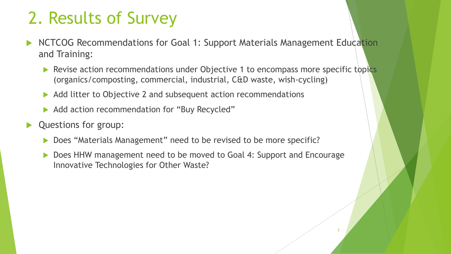- NCTCOG Recommendations for Goal 1: Support Materials Management Education and Training:
	- Revise action recommendations under Objective 1 to encompass more specific topics (organics/composting, commercial, industrial, C&D waste, wish-cycling)
	- Add litter to Objective 2 and subsequent action recommendations
	- ▶ Add action recommendation for "Buy Recycled"
- Questions for group:
	- ▶ Does "Materials Management" need to be revised to be more specific?
	- Does HHW management need to be moved to Goal 4: Support and Encourage Innovative Technologies for Other Waste?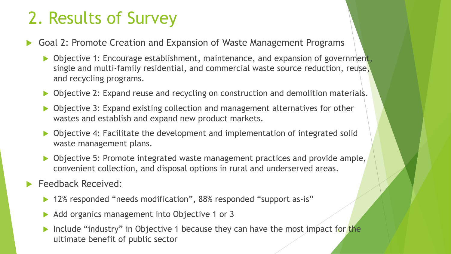- Goal 2: Promote Creation and Expansion of Waste Management Programs
	- Objective 1: Encourage establishment, maintenance, and expansion of government, single and multi-family residential, and commercial waste source reduction, reuse, and recycling programs.
	- ▶ Objective 2: Expand reuse and recycling on construction and demolition materials.
	- ▶ Objective 3: Expand existing collection and management alternatives for other wastes and establish and expand new product markets.
	- ▶ Objective 4: Facilitate the development and implementation of integrated solid waste management plans.
	- Objective 5: Promote integrated waste management practices and provide ample, convenient collection, and disposal options in rural and underserved areas.
- Feedback Received:
	- ▶ 12% responded "needs modification", 88% responded "support as-is"
	- ▶ Add organics management into Objective 1 or 3
	- Include "industry" in Objective 1 because they can have the most impact for the ultimate benefit of public sector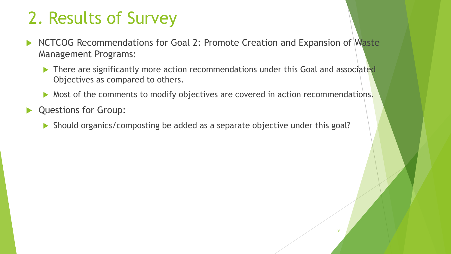- NCTCOG Recommendations for Goal 2: Promote Creation and Expansion of Waste Management Programs:
	- There are significantly more action recommendations under this Goal and associated Objectives as compared to others.
	- Most of the comments to modify objectives are covered in action recommendations.

 $\overline{a}$ 

- Questions for Group:
	- Should organics/composting be added as a separate objective under this goal?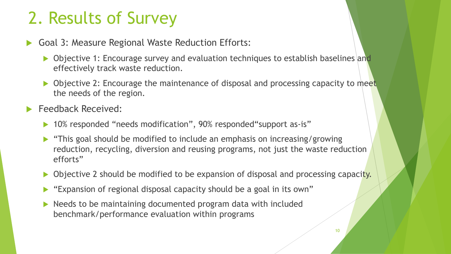- Goal 3: Measure Regional Waste Reduction Efforts:
	- Objective 1: Encourage survey and evaluation techniques to establish baselines and effectively track waste reduction.
	- Objective 2: Encourage the maintenance of disposal and processing capacity to meet the needs of the region.
- Feedback Received:
	- ▶ 10% responded "needs modification", 90% responded "support as-is"
	- "This goal should be modified to include an emphasis on increasing/growing reduction, recycling, diversion and reusing programs, not just the waste reduction efforts"
	- Objective 2 should be modified to be expansion of disposal and processing capacity.
	- "Expansion of regional disposal capacity should be a goal in its own"
	- $\triangleright$  Needs to be maintaining documented program data with included benchmark/performance evaluation within programs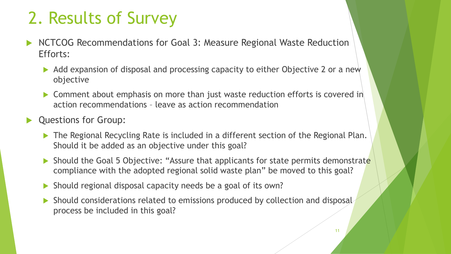- NCTCOG Recommendations for Goal 3: Measure Regional Waste Reduction Efforts:
	- Add expansion of disposal and processing capacity to either Objective 2 or a new objective
	- ▶ Comment about emphasis on more than just waste reduction efforts is covered in action recommendations – leave as action recommendation
- **Questions for Group:** 
	- ▶ The Regional Recycling Rate is included in a different section of the Regional Plan. Should it be added as an objective under this goal?
	- Should the Goal 5 Objective: "Assure that applicants for state permits demonstrate compliance with the adopted regional solid waste plan" be moved to this goal?
	- Should regional disposal capacity needs be a goal of its own?
	- Should considerations related to emissions produced by collection and disposal process be included in this goal?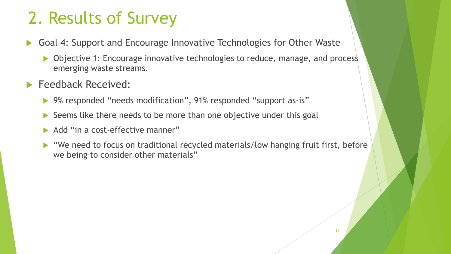- Goal 4: Support and Encourage Innovative Technologies for Other Waste
	- ▶ Objective 1: Encourage innovative technologies to reduce, manage, and process emerging waste streams.
- Feedback Received:
	- ▶ 9% responded "needs modification", 91% responded "support as-is"
	- $\triangleright$  Seems like there needs to be more than one objective under this goal
	- Add "in a cost-effective manner"
	- ▶ "We need to focus on traditional recycled materials/low hanging fruit first, before we being to consider other materials"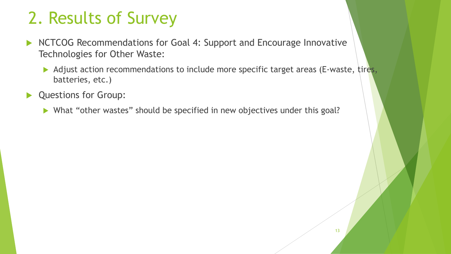- NCTCOG Recommendations for Goal 4: Support and Encourage Innovative Technologies for Other Waste:
	- Adjust action recommendations to include more specific target areas (E-waste, tires, batteries, etc.)
- Questions for Group:
	- What "other wastes" should be specified in new objectives under this goal?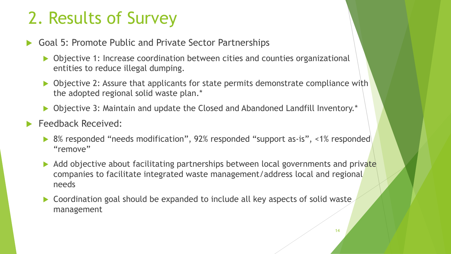- Goal 5: Promote Public and Private Sector Partnerships
	- ▶ Objective 1: Increase coordination between cities and counties organizational entities to reduce illegal dumping.
	- Objective 2: Assure that applicants for state permits demonstrate compliance with the adopted regional solid waste plan.\*
	- ▶ Objective 3: Maintain and update the Closed and Abandoned Landfill Inventory.\*
- Feedback Received:
	- ▶ 8% responded "needs modification", 92% responded "support as-is", <1% responded "remove"
	- $\blacktriangleright$  Add objective about facilitating partnerships between local governments and private companies to facilitate integrated waste management/address local and regional needs
	- Coordination goal should be expanded to include all key aspects of solid waste management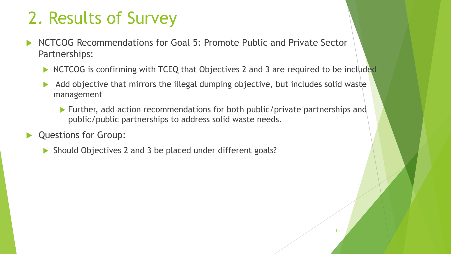- NCTCOG Recommendations for Goal 5: Promote Public and Private Sector Partnerships:
	- NCTCOG is confirming with TCEQ that Objectives 2 and 3 are required to be included
	- Add objective that mirrors the illegal dumping objective, but includes solid waste management
		- Further, add action recommendations for both public/private partnerships and public/public partnerships to address solid waste needs.
- Questions for Group:
	- Should Objectives 2 and 3 be placed under different goals?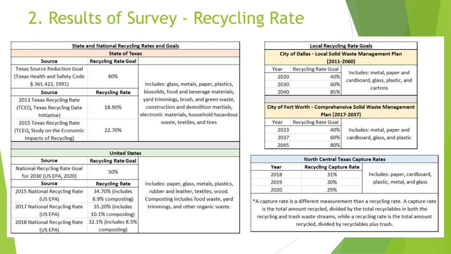#### 2. Results of Survey - Recycling Rate

|                                                                                         | <b>State and National Recycling Rates and Goals</b> |                                                                                                                                                                                                                                                     |
|-----------------------------------------------------------------------------------------|-----------------------------------------------------|-----------------------------------------------------------------------------------------------------------------------------------------------------------------------------------------------------------------------------------------------------|
|                                                                                         | <b>State of Texas</b>                               |                                                                                                                                                                                                                                                     |
| Source                                                                                  | <b>Recycling Rate Goal</b>                          |                                                                                                                                                                                                                                                     |
| <b>Texas Source Reduction Goal</b><br>(Texas Health and Safety Code<br>§ 361.422, 1991) | 40%                                                 | Includes: glass, metals, paper, plastics,<br>biosolids, food and beverage materials,<br>yard trimmings, brush, and green waste,<br>construction and demolition martials,<br>electronic materials, household hazardous<br>waste, textiles, and tires |
| Source                                                                                  | <b>Recycling Rate</b>                               |                                                                                                                                                                                                                                                     |
| 2013 Texas Recycling Rate<br>(TCEQ, Texas Recycling Data<br>Initiative)                 | 18.90%                                              |                                                                                                                                                                                                                                                     |
| 2015 Texas Recycling Rate<br>(TCEQ, Study on the Economic<br>Impacts of Recycling)      | 22.70%                                              |                                                                                                                                                                                                                                                     |
|                                                                                         |                                                     |                                                                                                                                                                                                                                                     |
| Source                                                                                  | <b>United States</b><br><b>Recycling Rate Goal</b>  |                                                                                                                                                                                                                                                     |
| National Recycling Rate Goal<br>for 2030 (US EPA, 2020)                                 | 50%                                                 |                                                                                                                                                                                                                                                     |
| Source                                                                                  | <b>Recycling Rate</b>                               | Includes: paper, glass, metals, plastics,<br>rubber and leather, textiles, wood.<br>Composting includes food waste, yard<br>trimmings, and other organic waste.                                                                                     |
| 2015 National Recycling Rate<br>(US EPA)                                                | 34.70% (includes<br>8.9% composting)                |                                                                                                                                                                                                                                                     |
| 2017 National Recycling Rate<br>(US EPA)                                                | 35.20% (includes<br>10.1% composting)               |                                                                                                                                                                                                                                                     |
| 2018 National Recycling Rate                                                            | 32.1% (includes 8.5%                                |                                                                                                                                                                                                                                                     |

composting)

(US EPA)

|      | <b>Local Recycling Rate Goals</b> |                                                                                            |  |
|------|-----------------------------------|--------------------------------------------------------------------------------------------|--|
|      | $(2011 - 2060)$                   | <b>City of Dallas - Local Solid Waste Management Plan</b>                                  |  |
| Year | <b>Recycling Rate Goal</b>        | Includes: metal, paper and                                                                 |  |
| 2020 | 40%                               | cardboard, glass, plastic, and                                                             |  |
| 2030 | 60%                               |                                                                                            |  |
|      |                                   | cartons                                                                                    |  |
| 2040 | 85%                               |                                                                                            |  |
|      | Plan (2017-2037)                  |                                                                                            |  |
| Year | <b>Recycling Rate Goal</b>        |                                                                                            |  |
| 2023 | 40%                               | Includes: metal, paper and                                                                 |  |
| 2037 | 60%                               | City of Fort Worth - Comprehensive Solid Waste Management<br>cardboard, glass, and plastic |  |

| <b>North Central Texas Capture Rates</b> |                               |                             |  |
|------------------------------------------|-------------------------------|-----------------------------|--|
| Year                                     | <b>Recycling Capture Rate</b> |                             |  |
| 2018                                     | 31%                           | Includes: paper, cardboard, |  |
| 2019                                     | 30%                           | plastic, metal, and glass   |  |
| 2020                                     | 29%                           |                             |  |

\*A capture rate is a different measurement than a recycling rate. A capture rate is the total amount recycled, divided by the total recyclables in both the recycling and trash waste streams, while a recycling rate is the total amount recycled, divided by recyclables plus trash.

16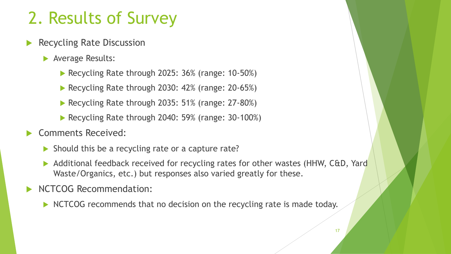- Recycling Rate Discussion
	- **Average Results:** 
		- Recycling Rate through 2025: 36% (range: 10-50%)
		- Recycling Rate through 2030: 42% (range: 20-65%)
		- Recycling Rate through 2035: 51% (range: 27-80%)
		- Recycling Rate through 2040: 59% (range: 30-100%)

#### Comments Received:

- Should this be a recycling rate or a capture rate?
- Additional feedback received for recycling rates for other wastes (HHW, C&D, Yard Waste/Organics, etc.) but responses also varied greatly for these.
- NCTCOG Recommendation:
	- NCTCOG recommends that no decision on the recycling rate is made today.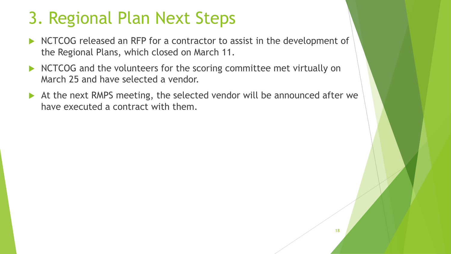#### 3. Regional Plan Next Steps

- NCTCOG released an RFP for a contractor to assist in the development of the Regional Plans, which closed on March 11.
- NCTCOG and the volunteers for the scoring committee met virtually on March 25 and have selected a vendor.
- At the next RMPS meeting, the selected vendor will be announced after we have executed a contract with them.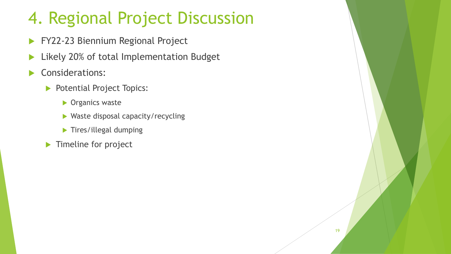#### 4. Regional Project Discussion

- **FY22-23 Biennium Regional Project**
- **Likely 20% of total Implementation Budget**
- Considerations:
	- Potential Project Topics:
		- **Diganics waster**
		- ▶ Waste disposal capacity/recycling
		- **Tires/illegal dumping**
	- **Timeline for project**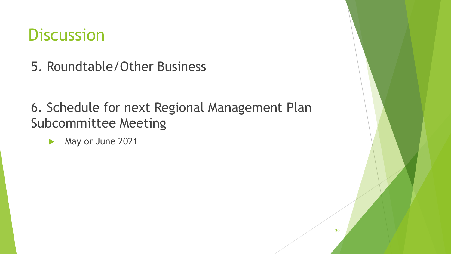#### **Discussion**

5. Roundtable/Other Business

6. Schedule for next Regional Management Plan Subcommittee Meeting

May or June 2021